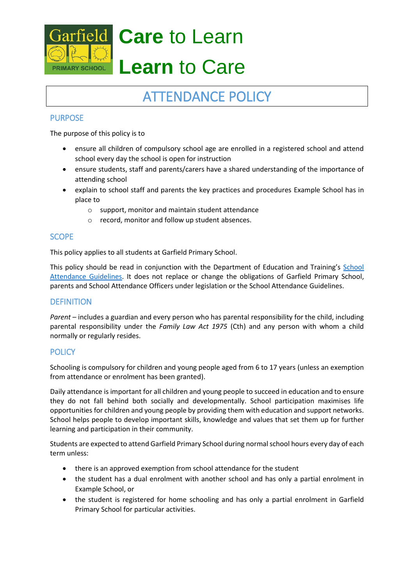

# **Care** to Learn

## **Learn** to Care

### ATTENDANCE POLICY

#### PURPOSE

The purpose of this policy is to

- ensure all children of compulsory school age are enrolled in a registered school and attend school every day the school is open for instruction
- ensure students, staff and parents/carers have a shared understanding of the importance of attending school
- explain to school staff and parents the key practices and procedures Example School has in place to
	- o support, monitor and maintain student attendance
	- o record, monitor and follow up student absences.

#### **SCOPE**

This policy applies to all students at Garfield Primary School.

This policy should be read in conjunction with the Department of Education and Training's School [Attendance Guidelines.](http://www.education.vic.gov.au/school/teachers/studentmanagement/Pages/attendance.aspx) It does not replace or change the obligations of Garfield Primary School, parents and School Attendance Officers under legislation or the School Attendance Guidelines.

#### **DEFINITION**

*Parent* – includes a guardian and every person who has parental responsibility for the child, including parental responsibility under the *Family Law Act 1975* (Cth) and any person with whom a child normally or regularly resides.

#### **POLICY**

Schooling is compulsory for children and young people aged from 6 to 17 years (unless an exemption from attendance or enrolment has been granted).

Daily attendance is important for all children and young people to succeed in education and to ensure they do not fall behind both socially and developmentally. School participation maximises life opportunities for children and young people by providing them with education and support networks. School helps people to develop important skills, knowledge and values that set them up for further learning and participation in their community.

Students are expected to attend Garfield Primary School during normal school hours every day of each term unless:

- there is an approved exemption from school attendance for the student
- the student has a dual enrolment with another school and has only a partial enrolment in Example School, or
- the student is registered for home schooling and has only a partial enrolment in Garfield Primary School for particular activities.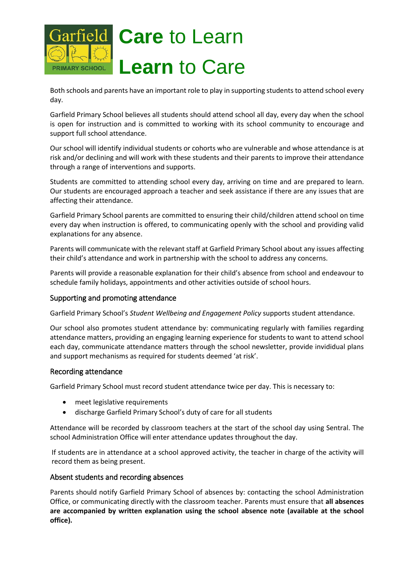

Both schools and parents have an important role to play in supporting students to attend school every day.

Garfield Primary School believes all students should attend school all day, every day when the school is open for instruction and is committed to working with its school community to encourage and support full school attendance.

Our school will identify individual students or cohorts who are vulnerable and whose attendance is at risk and/or declining and will work with these students and their parents to improve their attendance through a range of interventions and supports.

Students are committed to attending school every day, arriving on time and are prepared to learn. Our students are encouraged approach a teacher and seek assistance if there are any issues that are affecting their attendance.

Garfield Primary School parents are committed to ensuring their child/children attend school on time every day when instruction is offered, to communicating openly with the school and providing valid explanations for any absence.

Parents will communicate with the relevant staff at Garfield Primary School about any issues affecting their child's attendance and work in partnership with the school to address any concerns.

Parents will provide a reasonable explanation for their child's absence from school and endeavour to schedule family holidays, appointments and other activities outside of school hours.

#### Supporting and promoting attendance

Garfield Primary School's *Student Wellbeing and Engagement Policy* supports student attendance.

Our school also promotes student attendance by: communicating regularly with families regarding attendance matters, providing an engaging learning experience for students to want to attend school each day, communicate attendance matters through the school newsletter, provide invididual plans and support mechanisms as required for students deemed 'at risk'.

#### Recording attendance

Garfield Primary School must record student attendance twice per day. This is necessary to:

- meet legislative requirements
- discharge Garfield Primary School's duty of care for all students

Attendance will be recorded by classroom teachers at the start of the school day using Sentral. The school Administration Office will enter attendance updates throughout the day.

If students are in attendance at a school approved activity, the teacher in charge of the activity will record them as being present.

#### Absent students and recording absences

Parents should notify Garfield Primary School of absences by: contacting the school Administration Office, or communicating directly with the classroom teacher. Parents must ensure that **all absences are accompanied by written explanation using the school absence note (available at the school office).**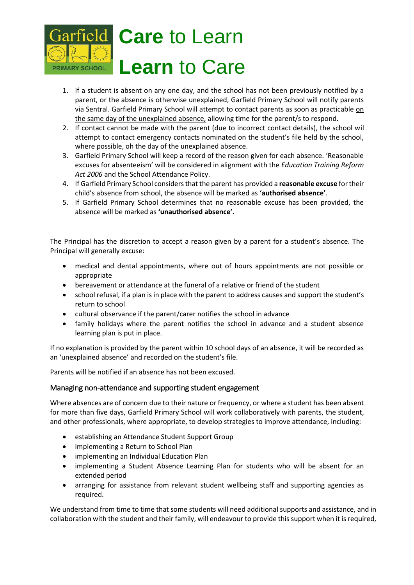

- 1. If a student is absent on any one day, and the school has not been previously notified by a parent, or the absence is otherwise unexplained, Garfield Primary School will notify parents via Sentral. Garfield Primary School will attempt to contact parents as soon as practicable on the same day of the unexplained absence, allowing time for the parent/s to respond.
- 2. If contact cannot be made with the parent (due to incorrect contact details), the school wil attempt to contact emergency contacts nominated on the student's file held by the school, where possible, oh the day of the unexplained absence.
- 3. Garfield Primary School will keep a record of the reason given for each absence. 'Reasonable excuses for absenteeism' will be considered in alignment with the *Education Training Reform Act 2006* and the School Attendance Policy.
- 4. If Garfield Primary School considers that the parent has provided a **reasonable excuse** for their child's absence from school, the absence will be marked as **'authorised absence'**.
- 5. If Garfield Primary School determines that no reasonable excuse has been provided, the absence will be marked as **'unauthorised absence'.**

The Principal has the discretion to accept a reason given by a parent for a student's absence. The Principal will generally excuse:

- medical and dental appointments, where out of hours appointments are not possible or appropriate
- bereavement or attendance at the funeral of a relative or friend of the student
- school refusal, if a plan is in place with the parent to address causes and support the student's return to school
- cultural observance if the parent/carer notifies the school in advance
- family holidays where the parent notifies the school in advance and a student absence learning plan is put in place.

If no explanation is provided by the parent within 10 school days of an absence, it will be recorded as an 'unexplained absence' and recorded on the student's file.

Parents will be notified if an absence has not been excused.

#### Managing non-attendance and supporting student engagement

Where absences are of concern due to their nature or frequency, or where a student has been absent for more than five days, Garfield Primary School will work collaboratively with parents, the student, and other professionals, where appropriate, to develop strategies to improve attendance, including:

- establishing an Attendance Student Support Group
- implementing a Return to School Plan
- implementing an Individual Education Plan
- implementing a Student Absence Learning Plan for students who will be absent for an extended period
- arranging for assistance from relevant student wellbeing staff and supporting agencies as required.

We understand from time to time that some students will need additional supports and assistance, and in collaboration with the student and their family, will endeavour to provide this support when it is required,